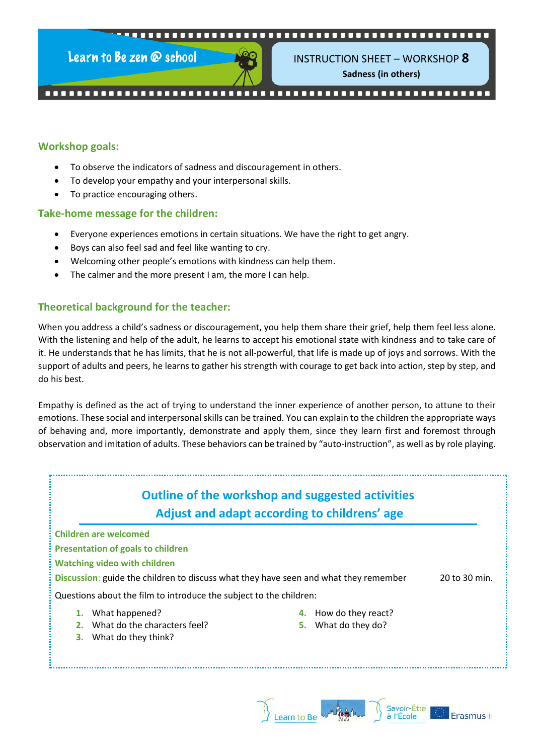.......... --------------------------

Learn to Be zen @ school



INSTRUCTION SHEET – WORKSHOP **8 Sadness (in others)**

#### **Workshop goals:**

- To observe the indicators of sadness and discouragement in others.
- To develop your empathy and your interpersonal skills.
- To practice encouraging others.

#### **Take-home message for the children:**

- Everyone experiences emotions in certain situations. We have the right to get angry.
- Boys can also feel sad and feel like wanting to cry.
- Welcoming other people's emotions with kindness can help them.
- The calmer and the more present I am, the more I can help.

#### **Theoretical background for the teacher:**

When you address a child's sadness or discouragement, you help them share their grief, help them feel less alone. With the listening and help of the adult, he learns to accept his emotional state with kindness and to take care of it. He understands that he has limits, that he is not all-powerful, that life is made up of joys and sorrows. With the support of adults and peers, he learns to gather his strength with courage to get back into action, step by step, and do his best.

Empathy is defined as the act of trying to understand the inner experience of another person, to attune to their emotions. These social and interpersonal skills can be trained. You can explain to the children the appropriate ways of behaving and, more importantly, demonstrate and apply them, since they learn first and foremost through observation and imitation of adults. These behaviors can be trained by "auto-instruction", as well as by role playing.



Learn to Be

Erasmus+